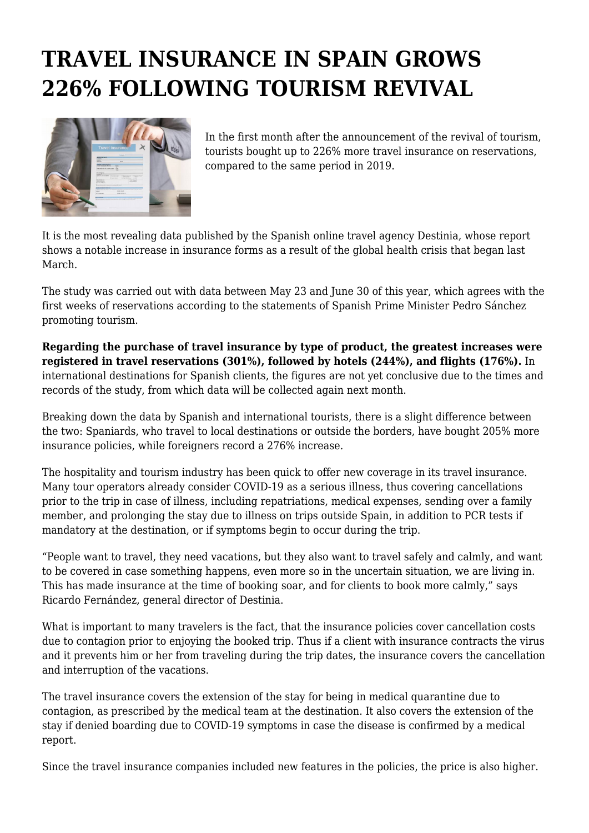## **TRAVEL INSURANCE IN SPAIN GROWS 226% FOLLOWING TOURISM REVIVAL**



In the first month after the announcement of the revival of tourism, tourists bought up to 226% more travel insurance on reservations, compared to the same period in 2019.

It is the most revealing data published by the Spanish online travel agency Destinia, whose report shows a notable increase in insurance forms as a result of the global health crisis that began last March.

The study was carried out with data between May 23 and June 30 of this year, which agrees with the first weeks of reservations according to the statements of Spanish Prime Minister Pedro Sánchez promoting tourism.

**Regarding the purchase of travel insurance by type of product, the greatest increases were registered in travel reservations (301%), followed by hotels (244%), and flights (176%).** In international destinations for Spanish clients, the figures are not yet conclusive due to the times and records of the study, from which data will be collected again next month.

Breaking down the data by Spanish and international tourists, there is a slight difference between the two: Spaniards, who travel to local destinations or outside the borders, have bought 205% more insurance policies, while foreigners record a 276% increase.

The hospitality and tourism industry has been quick to offer new coverage in its travel insurance. Many tour operators already consider COVID-19 as a serious illness, thus covering cancellations prior to the trip in case of illness, including repatriations, medical expenses, sending over a family member, and prolonging the stay due to illness on trips outside Spain, in addition to PCR tests if mandatory at the destination, or if symptoms begin to occur during the trip.

"People want to travel, they need vacations, but they also want to travel safely and calmly, and want to be covered in case something happens, even more so in the uncertain situation, we are living in. This has made insurance at the time of booking soar, and for clients to book more calmly," says Ricardo Fernández, general director of Destinia.

What is important to many travelers is the fact, that the insurance policies cover cancellation costs due to contagion prior to enjoying the booked trip. Thus if a client with insurance contracts the virus and it prevents him or her from traveling during the trip dates, the insurance covers the cancellation and interruption of the vacations.

The travel insurance covers the extension of the stay for being in medical quarantine due to contagion, as prescribed by the medical team at the destination. It also covers the extension of the stay if denied boarding due to COVID-19 symptoms in case the disease is confirmed by a medical report.

Since the travel insurance companies included new features in the policies, the price is also higher.